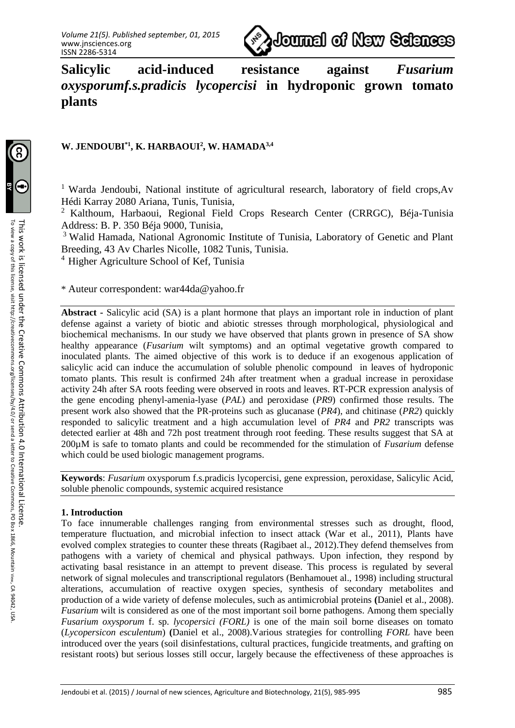

**Salicylic acid-induced resistance against** *Fusarium oxysporumf.s.pradicis lycopercisi* **in hydroponic grown tomato plants**

# **W. JENDOUBI\*1, K. HARBAOUI<sup>2</sup> , W. HAMADA3,4**

<sup>1</sup> Warda Jendoubi, National institute of agricultural research, laboratory of field crops,Av Hédi Karray 2080 Ariana, Tunis, Tunisia,

<sup>2</sup> Kalthoum, Harbaoui, Regional Field Crops Research Center (CRRGC), Béja-Tunisia Address: B. P. 350 Béja 9000, Tunisia,

<sup>3</sup> Walid Hamada, National Agronomic Institute of Tunisia, Laboratory of Genetic and Plant Breeding, 43 Av Charles Nicolle, 1082 Tunis, Tunisia.

 $4$  Higher Agriculture School of Kef, Tunisia

\* Auteur correspondent: war44da@yahoo.fr

**Abstract -** Salicylic acid (SA) is a plant hormone that plays an important role in induction of plant defense against a variety of biotic and abiotic stresses through morphological, physiological and biochemical mechanisms. In our study we have observed that plants grown in presence of SA show healthy appearance (*Fusarium* wilt symptoms) and an optimal vegetative growth compared to inoculated plants. The aimed objective of this work is to deduce if an exogenous application of salicylic acid can induce the accumulation of soluble phenolic compound in leaves of hydroponic tomato plants. This result is confirmed 24h after treatment when a gradual increase in peroxidase activity 24h after SA roots feeding were observed in roots and leaves. RT-PCR expression analysis of the gene encoding phenyl-amenia-lyase (*PAL*) and peroxidase (*PR9*) confirmed those results. The present work also showed that the PR-proteins such as glucanase (*PR4*), and chitinase (*PR2*) quickly responded to salicylic treatment and a high accumulation level of *PR4* and *PR2* transcripts was detected earlier at 48h and 72h post treatment through root feeding. These results suggest that SA at 200µM is safe to tomato plants and could be recommended for the stimulation of *Fusarium* defense which could be used biologic management programs.

**Keywords**: *Fusarium* oxysporum f.s.pradicis lycopercisi, gene expression, peroxidase, Salicylic Acid, soluble phenolic compounds, systemic acquired resistance

### **1. Introduction**

To face innumerable challenges ranging from environmental stresses such as drought, flood, temperature fluctuation, and microbial infection to insect attack (War et al., 2011), Plants have evolved complex strategies to counter these threats (Ragibaet al., 2012).They defend themselves from pathogens with a variety of chemical and physical pathways. Upon infection, they respond by activating basal resistance in an attempt to prevent disease. This process is regulated by several network of signal molecules and transcriptional regulators (Benhamouet al., 1998) including structural alterations, accumulation of reactive oxygen species, synthesis of secondary metabolites and production of a wide variety of defense molecules, such as antimicrobial proteins **(**Daniel et al., 2008). *Fusarium* wilt is considered as one of the most important soil borne pathogens. Among them specially *Fusarium oxysporum* f. sp. *lycopersici (FORL)* is one of the main soil borne diseases on tomato (*Lycopersicon esculentum*) **(**Daniel et al., 2008).Various strategies for controlling *FORL* have been introduced over the years (soil disinfestations, cultural practices, fungicide treatments, and grafting on resistant roots) but serious losses still occur, largely because the effectiveness of these approaches is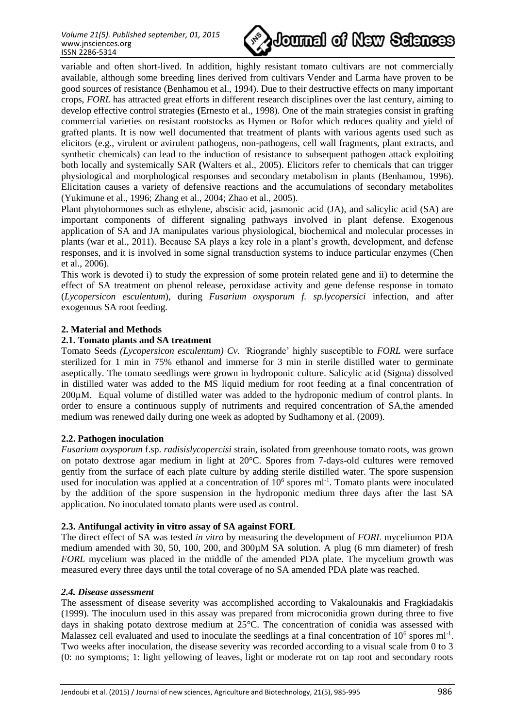

variable and often short-lived. In addition, highly resistant tomato cultivars are not commercially available, although some breeding lines derived from cultivars Vender and Larma have proven to be good sources of resistance (Benhamou et al., 1994). Due to their destructive effects on many important crops, *FORL* has attracted great efforts in different research disciplines over the last century, aiming to develop effective control strategies **(**Ernesto et al., 1998). One of the main strategies consist in grafting commercial varieties on resistant rootstocks as Hymen or Bofor which reduces quality and yield of grafted plants. It is now well documented that treatment of plants with various agents used such as elicitors (e.g., virulent or avirulent pathogens, non-pathogens, cell wall fragments, plant extracts, and synthetic chemicals) can lead to the induction of resistance to subsequent pathogen attack exploiting both locally and systemically SAR **(**Walters et al., 2005). Elicitors refer to chemicals that can trigger physiological and morphological responses and secondary metabolism in plants (Benhamou, 1996). Elicitation causes a variety of defensive reactions and the accumulations of secondary metabolites (Yukimune et al., 1996; Zhang et al., 2004; Zhao et al., 2005).

Plant phytohormones such as ethylene, abscisic acid, jasmonic acid (JA), and salicylic acid (SA) are important components of different signaling pathways involved in plant defense. Exogenous application of SA and JA manipulates various physiological, biochemical and molecular processes in plants (war et al., 2011). Because SA plays a key role in a plant's growth, development, and defense responses, and it is involved in some signal transduction systems to induce particular enzymes (Chen et al., 2006).

This work is devoted i) to study the expression of some protein related gene and ii) to determine the effect of SA treatment on phenol release, peroxidase activity and gene defense response in tomato (*Lycopersicon esculentum*), during *Fusarium oxysporum f. sp.lycopersici* infection, and after exogenous SA root feeding.

### **2. Material and Methods**

### **2.1. Tomato plants and SA treatment**

Tomato Seeds *(Lycopersicon esculentum) Cv. '*Riogrande' highly susceptible to *FORL* were surface sterilized for 1 min in 75% ethanol and immerse for 3 min in sterile distilled water to germinate aseptically. The tomato seedlings were grown in hydroponic culture. Salicylic acid (Sigma) dissolved in distilled water was added to the MS liquid medium for root feeding at a final concentration of 200µM. Equal volume of distilled water was added to the hydroponic medium of control plants. In order to ensure a continuous supply of nutriments and required concentration of SA,the amended medium was renewed daily during one week as adopted by Sudhamony et al. (2009).

### **2.2. Pathogen inoculation**

*Fusarium oxysporum* f.sp. *radisislycopercisi* strain, isolated from greenhouse tomato roots, was grown on potato dextrose agar medium in light at 20°C. Spores from 7-days-old cultures were removed gently from the surface of each plate culture by adding sterile distilled water. The spore suspension used for inoculation was applied at a concentration of  $10<sup>6</sup>$  spores ml<sup>-1</sup>. Tomato plants were inoculated by the addition of the spore suspension in the hydroponic medium three days after the last SA application. No inoculated tomato plants were used as control.

#### **2.3. Antifungal activity in vitro assay of SA against FORL**

The direct effect of SA was tested *in vitro* by measuring the development of *FORL* myceliumon PDA medium amended with 30, 50, 100, 200, and 300µM SA solution. A plug (6 mm diameter) of fresh *FORL* mycelium was placed in the middle of the amended PDA plate. The mycelium growth was measured every three days until the total coverage of no SA amended PDA plate was reached.

#### *2.4. Disease assessment*

The assessment of disease severity was accomplished according to Vakalounakis and Fragkiadakis (1999). The inoculum used in this assay was prepared from microconidia grown during three to five days in shaking potato dextrose medium at 25°C. The concentration of conidia was assessed with Malassez cell evaluated and used to inoculate the seedlings at a final concentration of  $10^6$  spores ml<sup>-1</sup>. Two weeks after inoculation, the disease severity was recorded according to a visual scale from 0 to 3 (0: no symptoms; 1: light yellowing of leaves, light or moderate rot on tap root and secondary roots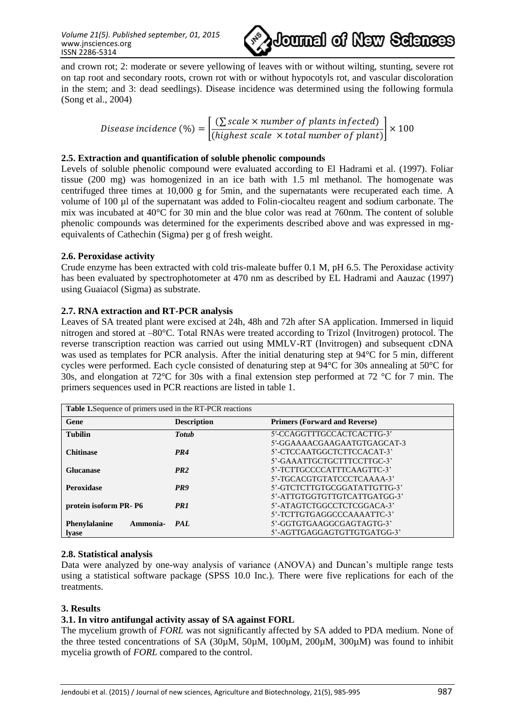*Volume 21(5). Published september, 01, 2015* www.jnsciences.org ISSN 2286-5314



and crown rot; 2: moderate or severe yellowing of leaves with or without wilting, stunting, severe rot on tap root and secondary roots, crown rot with or without hypocotyls rot, and vascular discoloration in the stem; and 3: dead seedlings). Disease incidence was determined using the following formula (Song et al., 2004)

$$
Disease incidence (%) = \left[ \frac{(\sum scale \times number of plants infected)}{(highest scale \times total number of plant)} \right] \times 100
$$

#### **2.5. Extraction and quantification of soluble phenolic compounds**

Levels of soluble phenolic compound were evaluated according to El Hadrami et al. (1997). Foliar tissue (200 mg) was homogenized in an ice bath with 1.5 ml methanol. The homogenate was centrifuged three times at 10,000 g for 5min, and the supernatants were recuperated each time. A volume of 100 µl of the supernatant was added to Folin-ciocalteu reagent and sodium carbonate. The mix was incubated at 40°C for 30 min and the blue color was read at 760nm. The content of soluble phenolic compounds was determined for the experiments described above and was expressed in mgequivalents of Cathechin (Sigma) per g of fresh weight.

#### **2.6. Peroxidase activity**

Crude enzyme has been extracted with cold tris-maleate buffer 0.1 M, pH 6.5. The Peroxidase activity has been evaluated by spectrophotometer at 470 nm as described by EL Hadrami and Aauzac (1997) using Guaiacol (Sigma) as substrate.

### **2.7. RNA extraction and RT-PCR analysis**

Leaves of SA treated plant were excised at 24h, 48h and 72h after SA application. Immersed in liquid nitrogen and stored at –80°C. Total RNAs were treated according to Trizol (Invitrogen) protocol. The reverse transcription reaction was carried out using MMLV-RT (Invitrogen) and subsequent cDNA was used as templates for PCR analysis. After the initial denaturing step at 94°C for 5 min, different cycles were performed. Each cycle consisted of denaturing step at 94°C for 30s annealing at 50°C for 30s, and elongation at 72°C for 30s with a final extension step performed at 72 °C for 7 min. The primers sequences used in PCR reactions are listed in table 1.

| <b>Table 1.</b> Sequence of primers used in the RT-PCR reactions |                    |                                      |
|------------------------------------------------------------------|--------------------|--------------------------------------|
| Gene                                                             | <b>Description</b> | <b>Primers (Forward and Reverse)</b> |
| <b>Tubilin</b>                                                   | <b>Totub</b>       | 5'-CCAGGTTTGCCACTCACTTG-3'           |
|                                                                  |                    | 5'-GGAAAACGAAGAATGTGAGCAT-3          |
| <b>Chitinase</b>                                                 | PR4                | 5'-CTCCAATGGCTCTTCCACAT-3'           |
|                                                                  |                    | 5'-GAAATTGCTGCTTTCCTTGC-3'           |
| <b>Glucanase</b>                                                 | PR2                | 5'-TCTTGCCCCATTTCAAGTTC-3'           |
|                                                                  |                    | 5'-TGCACGTGTATCCCTCAAAA-3'           |
| <b>Peroxidase</b>                                                | PR9                | 5'-GTCTCTTGTGCGGATATTGTTG-3'         |
|                                                                  |                    | 5'-ATTGTGGTGTTGTCATTGATGG-3'         |
| protein isoform PR-P6                                            | PR <sub>1</sub>    | 5'-ATAGTCTGGCCTCTCGGACA-3'           |
|                                                                  |                    | 5'-TCTTGTGAGGCCCAAAATTC-3'           |
| <b>Phenylalanine</b><br>Ammonia-                                 | PAL                | 5'-GGTGTGAAGGCGAGTAGTG-3'            |
| <b>lyase</b>                                                     |                    | 5'-AGTTGAGGAGTGTTGTGATGG-3'          |

### **2.8. Statistical analysis**

Data were analyzed by one-way analysis of variance (ANOVA) and Duncan's multiple range tests using a statistical software package (SPSS 10.0 Inc.). There were five replications for each of the treatments.

### **3. Results**

### **3.1. In vitro antifungal activity assay of SA against FORL**

The mycelium growth of *FORL* was not significantly affected by SA added to PDA medium. None of the three tested concentrations of SA (30µM, 50µM, 100µM, 200µM, 300µM) was found to inhibit mycelia growth of *FORL* compared to the control.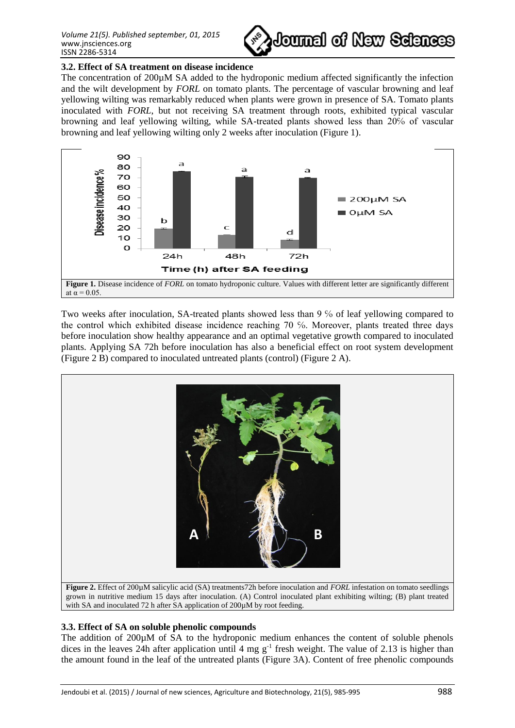

### **3.2. Effect of SA treatment on disease incidence**

The concentration of 200 $\mu$ M SA added to the hydroponic medium affected significantly the infection and the wilt development by *FORL* on tomato plants. The percentage of vascular browning and leaf yellowing wilting was remarkably reduced when plants were grown in presence of SA. Tomato plants inoculated with *FORL*, but not receiving SA treatment through roots, exhibited typical vascular browning and leaf yellowing wilting, while SA-treated plants showed less than 20% of vascular browning and leaf yellowing wilting only 2 weeks after inoculation (Figure 1).



Two weeks after inoculation, SA-treated plants showed less than 9 % of leaf yellowing compared to the control which exhibited disease incidence reaching 70 ℅. Moreover, plants treated three days before inoculation show healthy appearance and an optimal vegetative growth compared to inoculated plants. Applying SA 72h before inoculation has also a beneficial effect on root system development (Figure 2 B) compared to inoculated untreated plants (control) (Figure 2 A).



**Figure 2.** Effect of 200µM salicylic acid (SA) treatments72h before inoculation and *FORL* infestation on tomato seedlings grown in nutritive medium 15 days after inoculation. (A) Control inoculated plant exhibiting wilting; (B) plant treated with SA and inoculated 72 h after SA application of 200 $\mu$ M by root feeding.

# **3.3. Effect of SA on soluble phenolic compounds**

The addition of 200µM of SA to the hydroponic medium enhances the content of soluble phenols dices in the leaves 24h after application until 4 mg  $g^{-1}$  fresh weight. The value of 2.13 is higher than the amount found in the leaf of the untreated plants (Figure 3A). Content of free phenolic compounds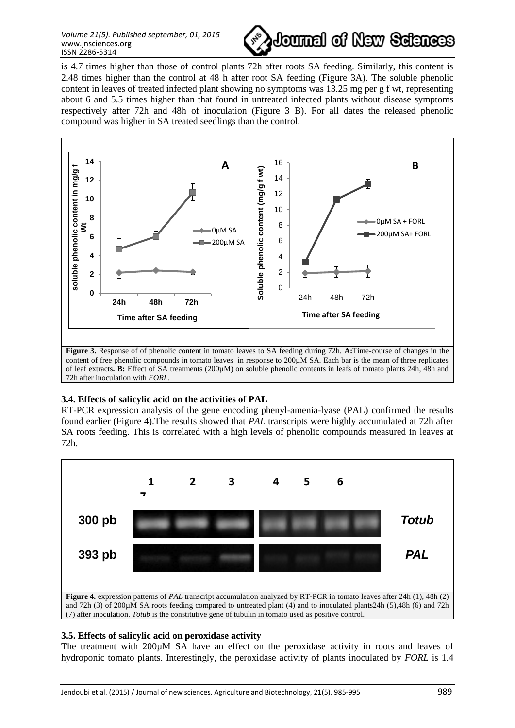

is 4.7 times higher than those of control plants 72h after roots SA feeding. Similarly, this content is 2.48 times higher than the control at 48 h after root SA feeding (Figure 3A). The soluble phenolic content in leaves of treated infected plant showing no symptoms was 13.25 mg per g f wt, representing about 6 and 5.5 times higher than that found in untreated infected plants without disease symptoms respectively after 72h and 48h of inoculation (Figure 3 B). For all dates the released phenolic compound was higher in SA treated seedlings than the control.



**3.4. Effects of salicylic acid on the activities of PAL**

RT-PCR expression analysis of the gene encoding phenyl-amenia-lyase (PAL) confirmed the results found earlier (Figure 4).The results showed that *PAL* transcripts were highly accumulated at 72h after SA roots feeding. This is correlated with a high levels of phenolic compounds measured in leaves at 72h.



# **3.5. Effects of salicylic acid on peroxidase activity**

The treatment with 200µM SA have an effect on the peroxidase activity in roots and leaves of hydroponic tomato plants. Interestingly, the peroxidase activity of plants inoculated by *FORL* is 1.4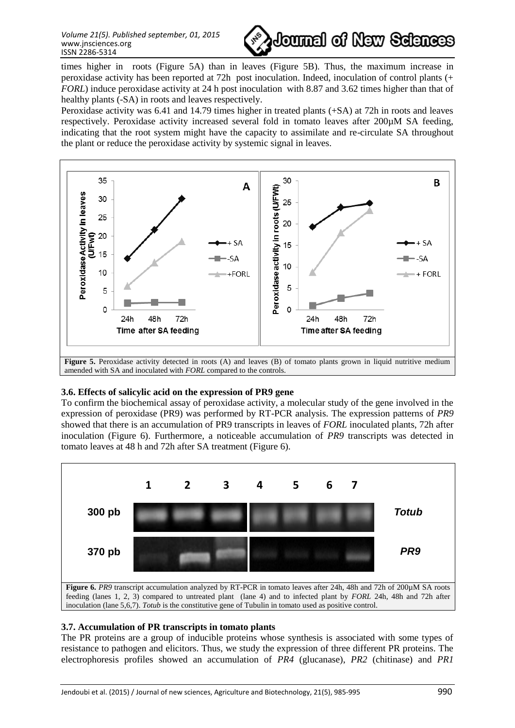

times higher in roots (Figure 5A) than in leaves (Figure 5B). Thus, the maximum increase in peroxidase activity has been reported at 72h post inoculation. Indeed, inoculation of control plants (+ *FORL*) induce peroxidase activity at 24 h post inoculation with 8.87 and 3.62 times higher than that of healthy plants (-SA) in roots and leaves respectively.

Peroxidase activity was 6.41 and 14.79 times higher in treated plants (+SA) at 72h in roots and leaves respectively. Peroxidase activity increased several fold in tomato leaves after 200µM SA feeding, indicating that the root system might have the capacity to assimilate and re-circulate SA throughout the plant or reduce the peroxidase activity by systemic signal in leaves.



# amended with SA and inoculated with *FORL* compared to the controls.

### **3.6. Effects of salicylic acid on the expression of PR9 gene**

To confirm the biochemical assay of peroxidase activity, a molecular study of the gene involved in the expression of peroxidase (PR9) was performed by RT-PCR analysis. The expression patterns of *PR9*  showed that there is an accumulation of PR9 transcripts in leaves of *FORL* inoculated plants, 72h after inoculation (Figure 6). Furthermore, a noticeable accumulation of *PR9* transcripts was detected in tomato leaves at 48 h and 72h after SA treatment (Figure 6).



### **3.7. Accumulation of PR transcripts in tomato plants**

The PR proteins are a group of inducible proteins whose synthesis is associated with some types of resistance to pathogen and elicitors. Thus, we study the expression of three different PR proteins. The electrophoresis profiles showed an accumulation of *PR4* (glucanase), *PR2* (chitinase) and *PR1*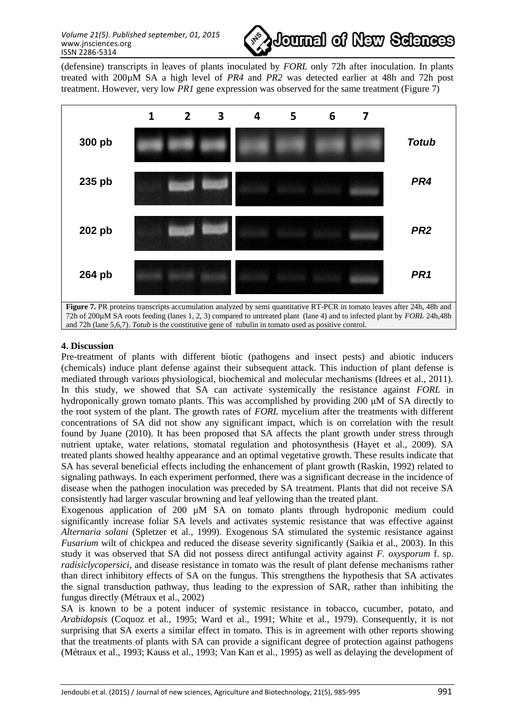

(defensine) transcripts in leaves of plants inoculated by *FORL* only 72h after inoculation. In plants treated with 200µM SA a high level of *PR4* and *PR2* was detected earlier at 48h and 72h post treatment. However, very low *PR1* gene expression was observed for the same treatment (Figure 7)



#### **4. Discussion**

Pre-treatment of plants with different biotic (pathogens and insect pests) and abiotic inducers (chemicals) induce plant defense against their subsequent attack. This induction of plant defense is mediated through various physiological, biochemical and molecular mechanisms (Idrees et al., 2011). In this study, we showed that SA can activate systemically the resistance against *FORL* in hydroponically grown tomato plants. This was accomplished by providing 200 μM of SA directly to the root system of the plant. The growth rates of *FORL* mycelium after the treatments with different concentrations of SA did not show any significant impact, which is on correlation with the result found by Juane (2010). It has been proposed that SA affects the plant growth under stress through nutrient uptake, water relations, stomatal regulation and photosynthesis (Hayet et al., 2009). SA treated plants showed healthy appearance and an optimal vegetative growth. These results indicate that SA has several beneficial effects including the enhancement of plant growth (Raskin, 1992) related to signaling pathways. In each experiment performed, there was a significant decrease in the incidence of disease when the pathogen inoculation was preceded by SA treatment. Plants that did not receive SA consistently had larger vascular browning and leaf yellowing than the treated plant.

Exogenous application of 200  $\mu$ M SA on tomato plants through hydroponic medium could significantly increase foliar SA levels and activates systemic resistance that was effective against *Alternaria solani* (Spletzer et al., 1999). Exogenous SA stimulated the systemic resistance against *Fusarium* wilt of chickpea and reduced the disease severity significantly (Saikia et al., 2003). In this study it was observed that SA did not possess direct antifungal activity against *F. oxysporum* f. sp*. radisiclycopersici*, and disease resistance in tomato was the result of plant defense mechanisms rather than direct inhibitory effects of SA on the fungus. This strengthens the hypothesis that SA activates the signal transduction pathway, thus leading to the expression of SAR, rather than inhibiting the fungus directly (Métraux et al., 2002)

SA is known to be a potent inducer of systemic resistance in tobacco, cucumber, potato, and *Arabidopsis* (Coquoz et al., 1995; Ward et al., 1991; White et al., 1979). Consequently, it is not surprising that SA exerts a similar effect in tomato. This is in agreement with other reports showing that the treatments of plants with SA can provide a significant degree of protection against pathogens (Métraux et al., 1993; Kauss et al., 1993; Van Kan et al., 1995) as well as delaying the development of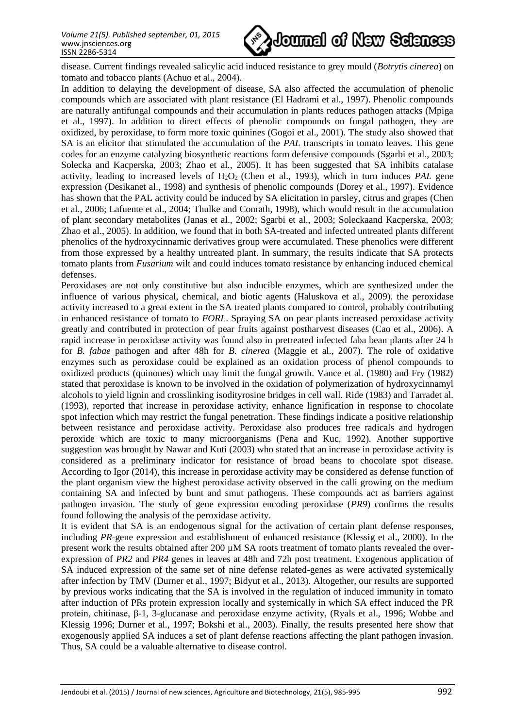

disease. Current findings revealed salicylic acid induced resistance to grey mould (*Botrytis cinerea*) on tomato and tobacco plants (Achuo et al., 2004).

In addition to delaying the development of disease, SA also affected the accumulation of phenolic compounds which are associated with plant resistance (El Hadrami et al., 1997). Phenolic compounds are naturally antifungal compounds and their accumulation in plants reduces pathogen attacks (Mpiga et al., 1997). In addition to direct effects of phenolic compounds on fungal pathogen, they are oxidized, by peroxidase, to form more toxic quinines (Gogoi et al., 2001). The study also showed that SA is an elicitor that stimulated the accumulation of the *PAL* transcripts in tomato leaves. This gene codes for an enzyme catalyzing biosynthetic reactions form defensive compounds (Sgarbi et al., 2003; Solecka and Kacperska, 2003; Zhao et al., 2005). It has been suggested that SA inhibits catalase activity, leading to increased levels of H<sub>2</sub>O<sub>2</sub> (Chen et al., 1993), which in turn induces *PAL* gene expression (Desikanet al., 1998) and synthesis of phenolic compounds (Dorey et al., 1997). Evidence has shown that the PAL activity could be induced by SA elicitation in parsley, citrus and grapes (Chen et al., 2006; Lafuente et al., 2004; Thulke and Conrath, 1998), which would result in the accumulation of plant secondary metabolites (Janas et al., 2002; Sgarbi et al., 2003; Soleckaand Kacperska, 2003; Zhao et al., 2005). In addition, we found that in both SA-treated and infected untreated plants different phenolics of the hydroxycinnamic derivatives group were accumulated. These phenolics were different from those expressed by a healthy untreated plant. In summary, the results indicate that SA protects tomato plants from *Fusarium* wilt and could induces tomato resistance by enhancing induced chemical defenses.

Peroxidases are not only constitutive but also inducible enzymes, which are synthesized under the influence of various physical, chemical, and biotic agents (Haluskova et al., 2009). the peroxidase activity increased to a great extent in the SA treated plants compared to control, probably contributing in enhanced resistance of tomato to *FORL*. Spraying SA on pear plants increased peroxidase activity greatly and contributed in protection of pear fruits against postharvest diseases (Cao et al., 2006). A rapid increase in peroxidase activity was found also in pretreated infected faba bean plants after 24 h for *B. fabae* pathogen and after 48h for *B. cinerea* (Maggie et al., 2007). The role of oxidative enzymes such as peroxidase could be explained as an oxidation process of phenol compounds to oxidized products (quinones) which may limit the fungal growth. Vance et al. (1980) and Fry (1982) stated that peroxidase is known to be involved in the oxidation of polymerization of hydroxycinnamyl alcohols to yield lignin and crosslinking isodityrosine bridges in cell wall. Ride (1983) and Tarradet al. (1993), reported that increase in peroxidase activity, enhance lignification in response to chocolate spot infection which may restrict the fungal penetration. These findings indicate a positive relationship between resistance and peroxidase activity. Peroxidase also produces free radicals and hydrogen peroxide which are toxic to many microorganisms (Pena and Kuc, 1992). Another supportive suggestion was brought by Nawar and Kuti (2003) who stated that an increase in peroxidase activity is considered as a preliminary indicator for resistance of broad beans to chocolate spot disease. According to Igor (2014), this increase in peroxidase activity may be considered as defense function of the plant organism view the highest peroxidase activity observed in the calli growing on the medium containing SA and infected by bunt and smut pathogens. These compounds act as barriers against pathogen invasion. The study of gene expression encoding peroxidase (*PR9*) confirms the results found following the analysis of the peroxidase activity.

It is evident that SA is an endogenous signal for the activation of certain plant defense responses, including *PR-*gene expression and establishment of enhanced resistance (Klessig et al., 2000). In the present work the results obtained after 200 µM SA roots treatment of tomato plants revealed the overexpression of *PR2* and *PR4* genes in leaves at 48h and 72h post treatment. Exogenous application of SA induced expression of the same set of nine defense related-genes as were activated systemically after infection by TMV (Durner et al., 1997; Bidyut et al., 2013). Altogether, our results are supported by previous works indicating that the SA is involved in the regulation of induced immunity in tomato after induction of PRs protein expression locally and systemically in which SA effect induced the PR protein, chitinase, β-1, 3-glucanase and peroxidase enzyme activity, (Ryals et al., 1996; Wobbe and Klessig 1996; Durner et al., 1997; Bokshi et al., 2003). Finally, the results presented here show that exogenously applied SA induces a set of plant defense reactions affecting the plant pathogen invasion. Thus, SA could be a valuable alternative to disease control.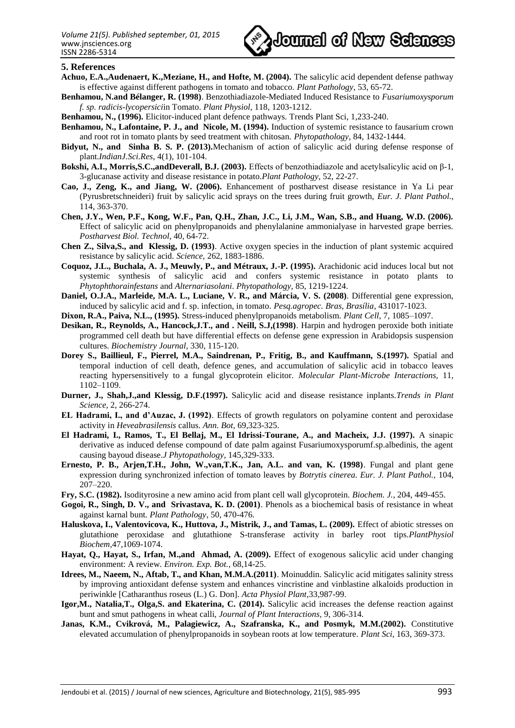

#### **5. References**

- **Achuo, E.A.,Audenaert, K.,Meziane, H., and Hofte, M. (2004).** The salicylic acid dependent defense pathway is effective against different pathogens in tomato and tobacco. *Plant Pathology*, 53, 65-72.
- **Benhamou, N.and Bélanger, R. (1998)**. Benzothiadiazole-Mediated Induced Resistance to *Fusariumoxysporum f. sp. radicis-lycopersici*in Tomato. *Plant Physiol,* 118, 1203-1212.
- **Benhamou, N., (1996).** Elicitor-induced plant defence pathways. Trends Plant Sci, 1,233-240.
- **Benhamou, N., Lafontaine, P. J., and Nicole, M. (1994).** Induction of systemic resistance to fausarium crown and root rot in tomato plants by seed treatment with chitosan. *Phytopathology,* 84, 1432-1444.
- **Bidyut, N., and Sinha B. S. P. (2013).**Mechanism of action of salicylic acid during defense response of plant.*IndianJ.Sci.Res*, 4(1), 101-104.
- **Bokshi, A.I., Morris,S.C.,andDeverall, B.J. (2003).** Effects of benzothiadiazole and acetylsalicylic acid on β-1, 3-glucanase activity and disease resistance in potato.*Plant Pathology*, 52, 22-27.
- **Cao, J., Zeng, K., and Jiang, W. (2006).** Enhancement of postharvest disease resistance in Ya Li pear (Pyrusbretschneideri) fruit by salicylic acid sprays on the trees during fruit growth, *Eur. J. Plant Pathol.*, 114, 363-370.
- **Chen, J.Y., Wen, P.F., Kong, W.F., Pan, Q.H., Zhan, J.C., Li, J.M., Wan, S.B., and Huang, W.D. (2006).** Effect of salicylic acid on phenylpropanoids and phenylalanine ammonialyase in harvested grape berries. *Postharvest Biol. Technol*, 40, 64-72.
- **Chen Z., Silva,S., and Klessig, D. (1993)**. Active oxygen species in the induction of plant systemic acquired resistance by salicylic acid*. Science,* 262, 1883-1886.
- **Coquoz, J.L., Buchala, A. J., Meuwly, P., and Métraux, J.-P. (1995).** Arachidonic acid induces local but not systemic synthesis of salicylic acid and confers systemic resistance in potato plants to *Phytophthorainfestans* and *Alternariasolani*. *Phytopathology,* 85, 1219-1224.
- **Daniel, O.J.A., Marleide, M.A. L., Luciane, V. R., and Márcia, V. S. (2008)**. Differential gene expression, induced by salicylic acid and f. sp. infection, in tomato. *Pesq.agropec. Bras, Brasília*, 431017-1023.
- **Dixon, R.A., Paiva, N.L., (1995).** Stress-induced phenylpropanoids metabolism. *Plant Cell*, 7, 1085–1097.
- **Desikan, R., Reynolds, A., Hancock,J.T., and . Neill, S.J,(1998)**. Harpin and hydrogen peroxide both initiate programmed cell death but have differential effects on defense gene expression in Arabidopsis suspension cultures. *Biochemistry Journal,* 330, 115-120.
- **Dorey S., Baillieul, F., Pierrel, M.A., Saindrenan, P., Fritig, B., and Kauffmann, S.(1997).** Spatial and temporal induction of cell death, defence genes, and accumulation of salicylic acid in tobacco leaves reacting hypersensitively to a fungal glycoprotein elicitor. *Molecular Plant-Microbe Interactions,* 11, 1102–1109.
- **Durner, J., Shah,J.,and Klessig, D.F.(1997).** Salicylic acid and disease resistance inplants.*Trends in Plant Science,* 2, 266-274.
- **EL Hadrami, I., and d'Auzac, J. (1992)**. Effects of growth regulators on polyamine content and peroxidase activity in *Heveabrasilensis* callus. *Ann. Bot,* 69,323-325.
- **El Hadrami, I., Ramos, T., El Bellaj, M., El Idrissi-Tourane, A., and Macheix, J.J. (1997).** A sinapic derivative as induced defense compound of date palm against Fusariumoxysporumf.sp.albedinis, the agent causing bayoud disease.*J Phytopathology*, 145,329-333.
- **Ernesto, P. B., Arjen,T.H., John, W.,van,T.K., Jan, A.L. and van, K. (1998)**. Fungal and plant gene expression during synchronized infection of tomato leaves by *Botrytis cinerea. Eur. J. Plant Pathol.,* 104, 207–220.
- **Fry, S.C. (1982).** Isodityrosine a new amino acid from plant cell wall glycoprotein. *Biochem. J.*, 204, 449-455.
- **Gogoi, R., Singh, D. V., and Srivastava, K. D. (2001)**. Phenols as a biochemical basis of resistance in wheat against karnal bunt. *Plant Pathology*, 50, 470-476.
- **Haluskova, I., Valentovicova, K., Huttova, J., Mistrik, J., and Tamas, L. (2009).** Effect of abiotic stresses on glutathione peroxidase and glutathione S-transferase activity in barley root tips.*PlantPhysiol Biochem*,47,1069-1074.
- **Hayat, Q., Hayat, S., Irfan, M.,and Ahmad, A. (2009).** Effect of exogenous salicylic acid under changing environment: A review. *Environ. Exp. Bot.*, 68,14-25.
- **Idrees, M., Naeem, N., Aftab, T., and Khan, M.M.A.(2011)**. Moinuddin. Salicylic acid mitigates salinity stress by improving antioxidant defense system and enhances vincristine and vinblastine alkaloids production in periwinkle [Catharanthus roseus (L.) G. Don]. *Acta Physiol Plant*,33,987-99.
- **Igor,M., Natalia,T., Olga,S. and Ekaterina, C. (2014).** Salicylic acid increases the defense reaction against bunt and smut pathogens in wheat calli, *Journal of Plant Interactions*, 9, 306-314.
- **Janas, K.M., Cvikrová, M., Palagiewicz, A., Szafranska, K., and Posmyk, M.M.(2002).** Constitutive elevated accumulation of phenylpropanoids in soybean roots at low temperature. *Plant Sci*, 163, 369-373.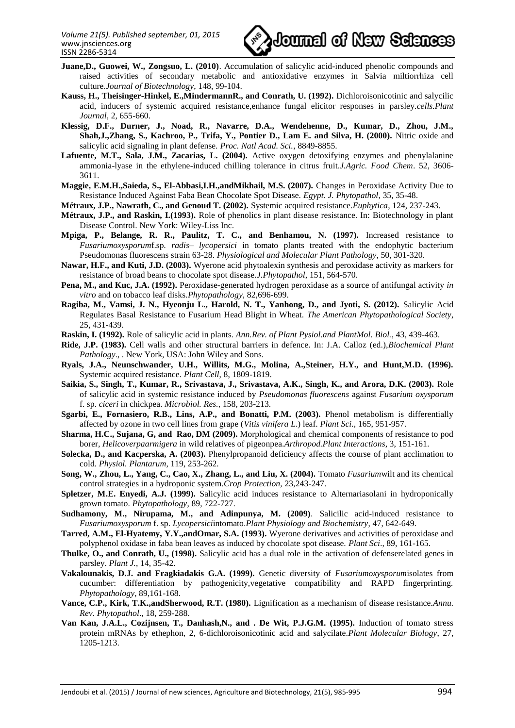

- **Juane,D., Guowei, W., Zongsuo, L. (2010)**. Accumulation of salicylic acid-induced phenolic compounds and raised activities of secondary metabolic and antioxidative enzymes in Salvia miltiorrhiza cell culture.*Journal of Biotechnology*, 148, 99-104.
- **Kauss, H., Theisinger-Hinkel, E.,MindermannR., and Conrath, U. (1992).** Dichloroisonicotinic and salycilic acid, inducers of systemic acquired resistance,enhance fungal elicitor responses in parsley.*cells.Plant Journal*, 2, 655-660.
- **Klessig, D.F., Durner, J., Noad, R., Navarre, D.A., Wendehenne, D., Kumar, D., Zhou, J.M., Shah,J.,Zhang, S., Kachroo, P., Trifa, Y., Pontier D., Lam E. and Silva, H. (2000).** Nitric oxide and salicylic acid signaling in plant defense*. Proc. Natl Acad. Sci.*, 8849-8855.
- Lafuente, M.T., Sala, J.M., Zacarias, L. (2004). Active oxygen detoxifying enzymes and phenylalanine ammonia-lyase in the ethylene-induced chilling tolerance in citrus fruit.*J.Agric. Food Chem*. 52, 3606- 3611.
- **Maggie, E.M.H.,Saieda, S., El-Abbasi,I.H.,andMikhail, M.S. (2007).** Changes in Peroxidase Activity Due to Resistance Induced Against Faba Bean Chocolate Spot Disease. *Egypt. J. Phytopathol*, 35, 35-48.

**Métraux, J.P., Nawrath, C., and Genoud T. (2002).** Systemic acquired resistance.*Euphytica*, 124, 237-243.

- **Métraux, J.P., and Raskin, I.(1993).** Role of phenolics in plant disease resistance. In: Biotechnology in plant Disease Control. New York: Wiley-Liss Inc.
- **Mpiga, P., Belange, R. R., Paulitz, T. C., and Benhamou, N. (1997).** Increased resistance to *Fusariumoxysporum*f.sp*. radis– lycopersici* in tomato plants treated with the endophytic bacterium Pseudomonas fluorescens strain 63-28. *Physiological and Molecular Plant Pathology*, 50, 301-320.
- **Nawar, H.F., and Kuti, J.D. (2003).** Wyerone acid phytoalexin synthesis and peroxidase activity as markers for resistance of broad beans to chocolate spot disease.*J.Phytopathol*, 151, 564-570.
- **Pena, M., and Kuc, J.A. (1992).** Peroxidase-generated hydrogen peroxidase as a source of antifungal activity *in vitro* and on tobacco leaf disks.*Phytopathology*, 82,696-699.
- **Ragiba, M., Vamsi, J. N., Hyeonju L., Harold, N. T., Yanhong, D., and Jyoti, S. (2012).** Salicylic Acid Regulates Basal Resistance to Fusarium Head Blight in Wheat. *The American Phytopathological Society*, 25, 431-439.
- **Raskin, I. (1992).** Role of salicylic acid in plants. *Ann.Rev. of Plant Pysiol.and PlantMol. Biol.*, 43, 439-463.
- **Ride, J.P. (1983).** Cell walls and other structural barriers in defence. In: J.A. Calloz (ed.),*Biochemical Plant Pathology*., . New York, USA: John Wiley and Sons.
- **Ryals, J.A., Neunschwander, U.H., Willits, M.G., Molina, A.,Steiner, H.Y., and Hunt,M.D. (1996).**  Systemic acquired resistance. *Plant Cell*, 8, 1809-1819.
- **Saikia, S., Singh, T., Kumar, R., Srivastava, J., Srivastava, A.K., Singh, K., and Arora, D.K. (2003).** Role of salicylic acid in systemic resistance induced by *Pseudomonas fluorescens* against *Fusarium oxysporum* f. sp. *ciceri* in chickpea. *Microbiol. Res.*, 158, 203-213.
- **Sgarbi, E., Fornasiero, R.B., Lins, A.P., and Bonatti, P.M. (2003).** Phenol metabolism is differentially affected by ozone in two cell lines from grape (*Vitis vinifera L*.) leaf. *Plant Sci.*, 165, 951-957.
- **Sharma, H.C., Sujana, G, and Rao, DM (2009).** Morphological and chemical components of resistance to pod borer, *Helicoverpaarmigera* in wild relatives of pigeonpea.*Arthropod.Plant Interactions*, 3, 151-161.
- **Solecka, D., and Kacperska, A. (2003).** Phenylpropanoid deficiency affects the course of plant acclimation to cold. *Physiol. Plantarum*, 119, 253-262.
- **Song, W., Zhou, L., Yang, C., Cao, X., Zhang, L., and Liu, X. (2004).** Tomato *Fusarium*wilt and its chemical control strategies in a hydroponic system.*Crop Protection,* 23,243-247.
- **Spletzer, M.E. Enyedi, A.J. (1999).** Salicylic acid induces resistance to Alternariasolani in hydroponically grown tomato. *Phytopathology*, 89, 722-727.
- **Sudhamony, M., Nirupama, M., and Adinpunya, M. (2009)**. Salicilic acid-induced resistance to *Fusariumoxysporum* f. sp. *Lycopersici*intomato.*Plant Physiology and Biochemistry*, 47, 642-649.
- **Tarred, A.M., El-Hyatemy, Y.Y.,andOmar, S.A. (1993).** Wyerone derivatives and activities of peroxidase and polyphenol oxidase in faba bean leaves as induced by chocolate spot disease. *Plant Sci*., 89, 161-165.
- **Thulke, O., and Conrath, U., (1998).** Salicylic acid has a dual role in the activation of defenserelated genes in parsley. *Plant J.*, 14, 35-42.
- **Vakalounakis, D.J. and Fragkiadakis G.A. (1999).** Genetic diversity of *Fusariumoxysporum*isolates from cucumber: differentiation by pathogenicity,vegetative compatibility and RAPD fingerprinting. *Phytopathology*, 89,161-168.
- **Vance, C.P., Kirk, T.K.,andSherwood, R.T. (1980).** Lignification as a mechanism of disease resistance.*Annu. Rev. Phytopathol*., 18, 259-288.
- **Van Kan, J.A.L., Cozijnsen, T., Danhash,N., and . De Wit, P.J.G.M. (1995).** Induction of tomato stress protein mRNAs by ethephon, 2, 6-dichloroisonicotinic acid and salycilate.*Plant Molecular Biology*, 27, 1205-1213.